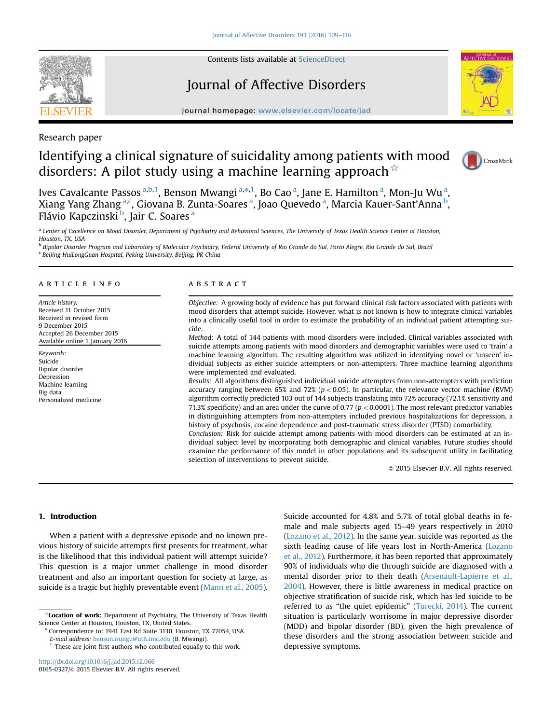

Contents lists available at ScienceDirect

# Journal of Affective Disorders



journal homepage: www.elsevier.com/locate/jad

Research paper

# Identifying a clinical signature of suicidality among patients with mood disorders: A pilot study using a machine learning approach  $*$



Ives Cavalcante Passos <sup>a,b,1</sup>, Benson Mwangi <sup>a, $\ast$ ,1</sup>, Bo Cao <sup>a</sup>, Jane E. Hamilton <sup>a</sup>, Mon-Ju Wu <sup>a</sup>, Xiang Yang Zhang <sup>a,c</sup>, Giovana B. Zunta-Soares <sup>a</sup>, Joao Quevedo <sup>a</sup>, Marcia Kauer-Sant'Anna <sup>b</sup>, Flávio Kapczinski b, Jair C. Soares a

a Center of Excellence on Mood Disorder, Department of Psychiatry and Behavioral Sciences, The University of Texas Health Science Center at Houston, Houston, TX, USA

<sup>b</sup> Bipolar Disorder Program and Laboratory of Molecular Psychiatry, Federal University of Rio Grande do Sul, Porto Alegre, Rio Grande do Sul, Brazil <sup>c</sup> Beijing HuiLongGuan Hospital, Peking University, Beijing, PR China

#### article info

Article history: Received 11 October 2015 Received in revised form 9 December 2015 Accepted 26 December 2015 Available online 1 January 2016

Keywords: Suicide Bipolar disorder Depression Machine learning Big data Personalized medicine

# **ABSTRACT**

Objective: A growing body of evidence has put forward clinical risk factors associated with patients with mood disorders that attempt suicide. However, what is not known is how to integrate clinical variables into a clinically useful tool in order to estimate the probability of an individual patient attempting suicide.

Method: A total of 144 patients with mood disorders were included. Clinical variables associated with suicide attempts among patients with mood disorders and demographic variables were used to 'train' a machine learning algorithm. The resulting algorithm was utilized in identifying novel or 'unseen' individual subjects as either suicide attempters or non-attempters. Three machine learning algorithms were implemented and evaluated.

Results: All algorithms distinguished individual suicide attempters from non-attempters with prediction accuracy ranging between 65% and 72% ( $p < 0.05$ ). In particular, the relevance vector machine (RVM) algorithm correctly predicted 103 out of 144 subjects translating into 72% accuracy (72.1% sensitivity and 71.3% specificity) and an area under the curve of 0.77 ( $p < 0.0001$ ). The most relevant predictor variables in distinguishing attempters from non-attempters included previous hospitalizations for depression, a history of psychosis, cocaine dependence and post-traumatic stress disorder (PTSD) comorbidity.

Conclusion: Risk for suicide attempt among patients with mood disorders can be estimated at an individual subject level by incorporating both demographic and clinical variables. Future studies should examine the performance of this model in other populations and its subsequent utility in facilitating selection of interventions to prevent suicide.

 $\odot$  2015 Elsevier B.V. All rights reserved.

# 1. Introduction

When a patient with a depressive episode and no known previous history of suicide attempts first presents for treatment, what is the likelihood that this individual patient will attempt suicide? This question is a major unmet challenge in mood disorder treatment and also an important question for society at large, as suicide is a tragic but highly preventable event (Mann et al., 2005). Suicide accounted for 4.8% and 5.7% of total global deaths in female and male subjects aged 15–49 years respectively in 2010 (Lozano et al., 2012). In the same year, suicide was reported as the sixth leading cause of life years lost in North-America (Lozano et al., 2012). Furthermore, it has been reported that approximately 90% of individuals who die through suicide are diagnosed with a mental disorder prior to their death (Arsenault-Lapierre et al., 2004). However, there is little awareness in medical practice on objective stratification of suicide risk, which has led suicide to be referred to as "the quiet epidemic" (Turecki, 2014). The current situation is particularly worrisome in major depressive disorder (MDD) and bipolar disorder (BD), given the high prevalence of these disorders and the strong association between suicide and depressive symptoms.

<sup>☆</sup>Location of work: Department of Psychiatry, The University of Texas Health Science Center at Houston, Houston, TX, United States.

<sup>n</sup> Correspondence to: 1941 East Rd Suite 3130, Houston, TX 77054, USA.

E-mail address: benson.irungu@uth.tmc.edu (B. Mwangi).

 $1$  These are joint first authors who contributed equally to this work.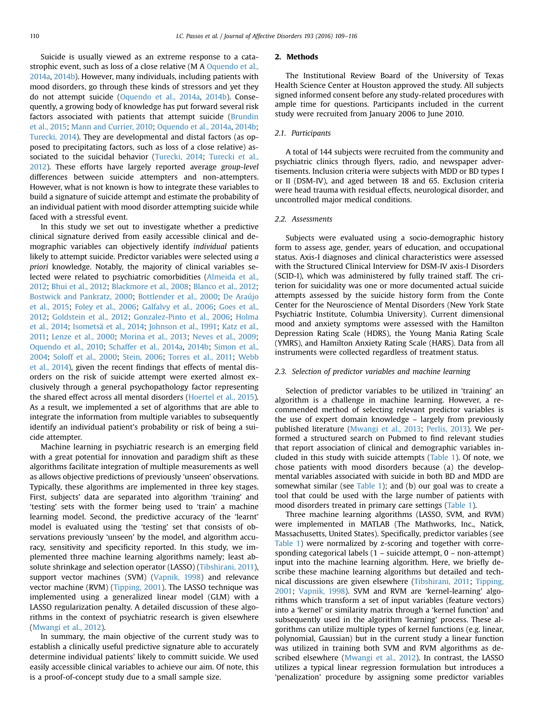Suicide is usually viewed as an extreme response to a catastrophic event, such as loss of a close relative (M A Oquendo et al., 2014a, 2014b). However, many individuals, including patients with mood disorders, go through these kinds of stressors and yet they do not attempt suicide (Oquendo et al., 2014a, 2014b). Consequently, a growing body of knowledge has put forward several risk factors associated with patients that attempt suicide (Brundin et al., 2015; Mann and Currier, 2010; Oquendo et al., 2014a, 2014b; Turecki, 2014). They are developmental and distal factors (as opposed to precipitating factors, such as loss of a close relative) associated to the suicidal behavior (Turecki, 2014; Turecki et al., 2012). These efforts have largely reported average group-level differences between suicide attempters and non-attempters. However, what is not known is how to integrate these variables to build a signature of suicide attempt and estimate the probability of an individual patient with mood disorder attempting suicide while faced with a stressful event.

In this study we set out to investigate whether a predictive clinical signature derived from easily accessible clinical and demographic variables can objectively identify individual patients likely to attempt suicide. Predictor variables were selected using a priori knowledge. Notably, the majority of clinical variables selected were related to psychiatric comorbidities (Almeida et al., 2012; Bhui et al., 2012; Blackmore et al., 2008; Blanco et al., 2012; Bostwick and Pankratz, 2000; Bottlender et al., 2000; De Araújo et al., 2015; Foley et al., 2006; Galfalvy et al., 2006; Goes et al., 2012; Goldstein et al., 2012; Gonzalez-Pinto et al., 2006; Holma et al., 2014; Isometsä et al., 2014; Johnson et al., 1991; Katz et al., 2011; Lenze et al., 2000; Morina et al., 2013; Neves et al., 2009; Oquendo et al., 2010; Schaffer et al., 2014a, 2014b; Simon et al., 2004; Soloff et al., 2000; Stein, 2006; Torres et al., 2011; Webb et al., 2014), given the recent findings that effects of mental disorders on the risk of suicide attempt were exerted almost exclusively through a general psychopathology factor representing the shared effect across all mental disorders (Hoertel et al., 2015). As a result, we implemented a set of algorithms that are able to integrate the information from multiple variables to subsequently identify an individual patient's probability or risk of being a suicide attempter.

Machine learning in psychiatric research is an emerging field with a great potential for innovation and paradigm shift as these algorithms facilitate integration of multiple measurements as well as allows objective predictions of previously 'unseen' observations. Typically, these algorithms are implemented in three key stages. First, subjects' data are separated into algorithm 'training' and 'testing' sets with the former being used to 'train' a machine learning model. Second, the predictive accuracy of the 'learnt' model is evaluated using the 'testing' set that consists of observations previously 'unseen' by the model, and algorithm accuracy, sensitivity and specificity reported. In this study, we implemented three machine learning algorithms namely; least absolute shrinkage and selection operator (LASSO) (Tibshirani, 2011), support vector machines (SVM) (Vapnik, 1998) and relevance vector machine (RVM) (Tipping, 2001). The LASSO technique was implemented using a generalized linear model (GLM) with a LASSO regularization penalty. A detailed discussion of these algorithms in the context of psychiatric research is given elsewhere (Mwangi et al., 2012).

In summary, the main objective of the current study was to establish a clinically useful predictive signature able to accurately determine individual patients' likely to committ suicide. We used easily accessible clinical variables to achieve our aim. Of note, this is a proof-of-concept study due to a small sample size.

## 2. Methods

The Institutional Review Board of the University of Texas Health Science Center at Houston approved the study. All subjects signed informed consent before any study-related procedures with ample time for questions. Participants included in the current study were recruited from January 2006 to June 2010.

### 2.1. Participants

A total of 144 subjects were recruited from the community and psychiatric clinics through flyers, radio, and newspaper advertisements. Inclusion criteria were subjects with MDD or BD types I or II (DSM-IV), and aged between 18 and 65. Exclusion criteria were head trauma with residual effects, neurological disorder, and uncontrolled major medical conditions.

### 2.2. Assessments

Subjects were evaluated using a socio-demographic history form to assess age, gender, years of education, and occupational status. Axis-I diagnoses and clinical characteristics were assessed with the Structured Clinical Interview for DSM-IV axis-I Disorders (SCID-I), which was administered by fully trained staff. The criterion for suicidality was one or more documented actual suicide attempts assessed by the suicide history form from the Conte Center for the Neuroscience of Mental Disorders (New York State Psychiatric Institute, Columbia University). Current dimensional mood and anxiety symptoms were assessed with the Hamilton Depression Rating Scale (HDRS), the Young Mania Rating Scale (YMRS), and Hamilton Anxiety Rating Scale (HARS). Data from all instruments were collected regardless of treatment status.

### 2.3. Selection of predictor variables and machine learning

Selection of predictor variables to be utilized in 'training' an algorithm is a challenge in machine learning. However, a recommended method of selecting relevant predictor variables is the use of expert domain knowledge – largely from previously published literature (Mwangi et al., 2013; Perlis, 2013). We performed a structured search on Pubmed to find relevant studies that report association of clinical and demographic variables included in this study with suicide attempts (Table 1). Of note, we chose patients with mood disorders because (a) the developmental variables associated with suicide in both BD and MDD are somewhat similar (see Table 1); and (b) our goal was to create a tool that could be used with the large number of patients with mood disorders treated in primary care settings (Table 1).

Three machine learning algorithms (LASSO, SVM, and RVM) were implemented in MATLAB (The Mathworks, Inc., Natick, Massachusetts, United States). Specifically, predictor variables (see Table 1) were normalized by z-scoring and together with corresponding categorical labels (1 – suicide attempt, 0 – non-attempt) input into the machine learning algorithm. Here, we briefly describe these machine learning algorithms but detailed and technical discussions are given elsewhere (Tibshirani, 2011; Tipping, 2001; Vapnik, 1998). SVM and RVM are 'kernel-learning' algorithms which transform a set of input variables (feature vectors) into a 'kernel' or similarity matrix through a 'kernel function' and subsequently used in the algorithm 'learning' process. These algorithms can utilize multiple types of kernel functions (e.g. linear, polynomial, Gaussian) but in the current study a linear function was utilized in training both SVM and RVM algorithms as described elsewhere (Mwangi et al., 2012). In contrast, the LASSO utilizes a typical linear regression formulation but introduces a 'penalization' procedure by assigning some predictor variables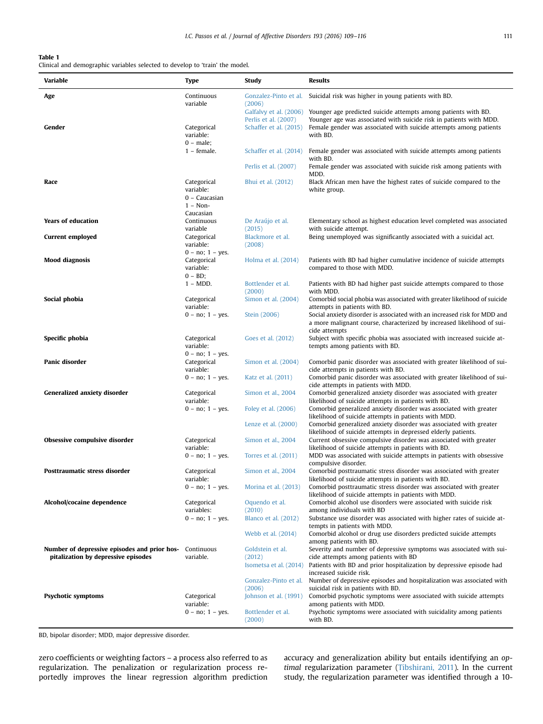### Table 1

Clinical and demographic variables selected to develop to 'train' the model.

| Variable                                                                            | Type                                                                 | Study                                                                    | <b>Results</b>                                                                                                                                                                                                        |
|-------------------------------------------------------------------------------------|----------------------------------------------------------------------|--------------------------------------------------------------------------|-----------------------------------------------------------------------------------------------------------------------------------------------------------------------------------------------------------------------|
| Age                                                                                 | Continuous<br>variable                                               | Gonzalez-Pinto et al.<br>(2006)                                          | Suicidal risk was higher in young patients with BD.                                                                                                                                                                   |
| Gender                                                                              | Categorical<br>variable:<br>$0$ – male;                              | Galfalvy et al. (2006)<br>Perlis et al. (2007)<br>Schaffer et al. (2015) | Younger age predicted suicide attempts among patients with BD.<br>Younger age was associated with suicide risk in patients with MDD.<br>Female gender was associated with suicide attempts among patients<br>with BD. |
|                                                                                     | $1$ – female.                                                        | Schaffer et al. (2014)                                                   | Female gender was associated with suicide attempts among patients<br>with BD.                                                                                                                                         |
|                                                                                     |                                                                      | Perlis et al. (2007)                                                     | Female gender was associated with suicide risk among patients with<br>MDD.                                                                                                                                            |
| Race                                                                                | Categorical<br>variable:<br>0 - Caucasian<br>$1 - Non-$<br>Caucasian | Bhui et al. (2012)                                                       | Black African men have the highest rates of suicide compared to the<br>white group.                                                                                                                                   |
| <b>Years of education</b>                                                           | Continuous                                                           | De Araújo et al.                                                         | Elementary school as highest education level completed was associated                                                                                                                                                 |
| <b>Current employed</b>                                                             | variable<br>Categorical<br>variable:<br>$0 - no$ ; $1 - yes$ .       | (2015)<br>Blackmore et al.<br>(2008)                                     | with suicide attempt.<br>Being unemployed was significantly associated with a suicidal act.                                                                                                                           |
| <b>Mood diagnosis</b>                                                               | Categorical<br>variable:<br>$0 - BD$ ;                               | Holma et al. (2014)                                                      | Patients with BD had higher cumulative incidence of suicide attempts<br>compared to those with MDD.                                                                                                                   |
|                                                                                     | $1 - MDD$ .                                                          | Bottlender et al.<br>(2000)                                              | Patients with BD had higher past suicide attempts compared to those<br>with MDD.                                                                                                                                      |
| Social phobia                                                                       | Categorical<br>variable:                                             | Simon et al. (2004)                                                      | Comorbid social phobia was associated with greater likelihood of suicide<br>attempts in patients with BD.                                                                                                             |
|                                                                                     | $0 - no$ ; $1 - yes$ .                                               | Stein (2006)                                                             | Social anxiety disorder is associated with an increased risk for MDD and<br>a more malignant course, characterized by increased likelihood of sui-<br>cide attempts                                                   |
| Specific phobia                                                                     | Categorical<br>variable:<br>$0 - no; 1 - yes.$                       | Goes et al. (2012)                                                       | Subject with specific phobia was associated with increased suicide at-<br>tempts among patients with BD.                                                                                                              |
| Panic disorder                                                                      | Categorical<br>variable:                                             | Simon et al. (2004)                                                      | Comorbid panic disorder was associated with greater likelihood of sui-<br>cide attempts in patients with BD.                                                                                                          |
|                                                                                     | $0 - no$ ; $1 - yes$ .                                               | Katz et al. (2011)                                                       | Comorbid panic disorder was associated with greater likelihood of sui-<br>cide attempts in patients with MDD.                                                                                                         |
| <b>Generalized anxiety disorder</b>                                                 | Categorical<br>variable:                                             | Simon et al., 2004                                                       | Comorbid generalized anxiety disorder was associated with greater<br>likelihood of suicide attempts in patients with BD.                                                                                              |
|                                                                                     | $0 - no; 1 - yes.$                                                   | Foley et al. (2006)                                                      | Comorbid generalized anxiety disorder was associated with greater<br>likelihood of suicide attempts in patients with MDD.                                                                                             |
|                                                                                     |                                                                      | Lenze et al. (2000)                                                      | Comorbid generalized anxiety disorder was associated with greater<br>likelihood of suicide attempts in depressed elderly patients.                                                                                    |
| Obsessive compulsive disorder                                                       | Categorical<br>variable:                                             | Simon et al., 2004                                                       | Current obsessive compulsive disorder was associated with greater<br>likelihood of suicide attempts in patients with BD.                                                                                              |
|                                                                                     | $0 - no$ ; $1 - yes$ .                                               | Torres et al. (2011)                                                     | MDD was associated with suicide attempts in patients with obsessive<br>compulsive disorder.                                                                                                                           |
| Posttraumatic stress disorder                                                       | Categorical<br>variable:                                             | Simon et al., 2004                                                       | Comorbid posttraumatic stress disorder was associated with greater<br>likelihood of suicide attempts in patients with BD.                                                                                             |
|                                                                                     | $0 - no; 1 - yes.$                                                   | Morina et al. (2013)                                                     | Comorbid posttraumatic stress disorder was associated with greater<br>likelihood of suicide attempts in patients with MDD.                                                                                            |
| Alcohol/cocaine dependence                                                          | Categorical<br>variables:                                            | Oquendo et al.<br>(2010)                                                 | Comorbid alcohol use disorders were associated with suicide risk<br>among individuals with BD                                                                                                                         |
|                                                                                     | $0 - no; 1 - yes.$                                                   | Blanco et al. (2012)                                                     | Substance use disorder was associated with higher rates of suicide at-<br>tempts in patients with MDD.                                                                                                                |
|                                                                                     |                                                                      | Webb et al. (2014)                                                       | Comorbid alcohol or drug use disorders predicted suicide attempts<br>among patients with BD.                                                                                                                          |
| Number of depressive episodes and prior hos-<br>pitalization by depressive episodes | Continuous<br>variable.                                              | Goldstein et al.<br>(2012)<br>Isometsa et al. (2014)                     | Severity and number of depressive symptoms was associated with sui-<br>cide attempts among patients with BD<br>Patients with BD and prior hospitalization by depressive episode had                                   |
|                                                                                     |                                                                      | Gonzalez-Pinto et al.                                                    | increased suicide risk.<br>Number of depressive episodes and hospitalization was associated with                                                                                                                      |
| <b>Psychotic symptoms</b>                                                           | Categorical<br>variable:                                             | (2006)<br>Johnson et al. (1991)                                          | suicidal risk in patients with BD.<br>Comorbid psychotic symptoms were associated with suicide attempts<br>among patients with MDD.                                                                                   |
|                                                                                     | $0 - no$ ; $1 - yes$ .                                               | Bottlender et al.<br>(2000)                                              | Psychotic symptoms were associated with suicidality among patients<br>with BD.                                                                                                                                        |

BD, bipolar disorder; MDD, major depressive disorder.

zero coefficients or weighting factors – a process also referred to as regularization. The penalization or regularization process reportedly improves the linear regression algorithm prediction

accuracy and generalization ability but entails identifying an optimal regularization parameter (Tibshirani, 2011). In the current study, the regularization parameter was identified through a 10-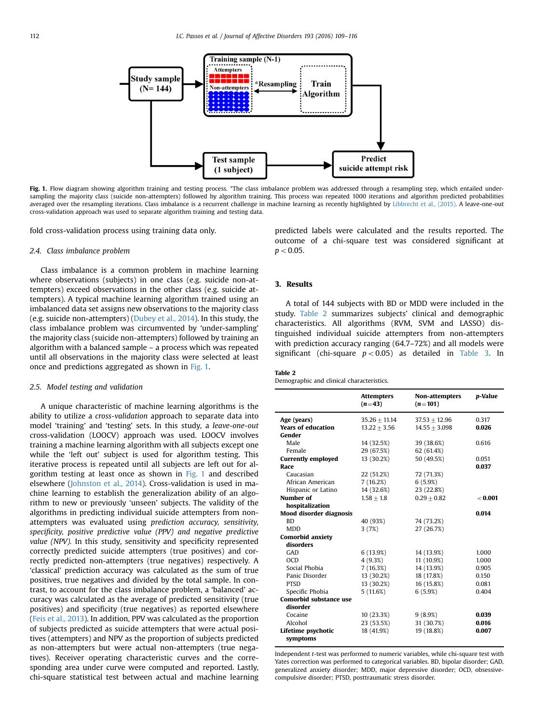

Fig. 1. Flow diagram showing algorithm training and testing process. \*The class imbalance problem was addressed through a resampling step, which entailed undersampling the majority class (suicide non-attempters) followed by algorithm training. This process was repeated 1000 iterations and algorithm predicted probabilities averaged over the resampling iterations. Class imbalance is a recurrent challenge in machine learning as recently highlighted by Libbrecht et al., (2015). A leave-one-out cross-validation approach was used to separate algorithm training and testing data.

fold cross-validation process using training data only.

#### 2.4. Class imbalance problem

Class imbalance is a common problem in machine learning where observations (subjects) in one class (e.g. suicide non-attempters) exceed observations in the other class (e.g. suicide attempters). A typical machine learning algorithm trained using an imbalanced data set assigns new observations to the majority class (e.g. suicide non-attempters) (Dubey et al., 2014). In this study, the class imbalance problem was circumvented by 'under-sampling' the majority class (suicide non-attempters) followed by training an algorithm with a balanced sample – a process which was repeated until all observations in the majority class were selected at least once and predictions aggregated as shown in Fig. 1.

## 2.5. Model testing and validation

A unique characteristic of machine learning algorithms is the ability to utilize a cross-validation approach to separate data into model 'training' and 'testing' sets. In this study, a leave-one-out cross-validation (LOOCV) approach was used. LOOCV involves training a machine learning algorithm with all subjects except one while the 'left out' subject is used for algorithm testing. This iterative process is repeated until all subjects are left out for algorithm testing at least once as shown in Fig. 1 and described elsewhere (Johnston et al., 2014). Cross-validation is used in machine learning to establish the generalization ability of an algorithm to new or previously 'unseen' subjects. The validity of the algorithms in predicting individual suicide attempters from nonattempters was evaluated using prediction accuracy, sensitivity, specificity, positive predictive value (PPV) and negative predictive value (NPV). In this study, sensitivity and specificity represented correctly predicted suicide attempters (true positives) and correctly predicted non-attempters (true negatives) respectively. A 'classical' prediction accuracy was calculated as the sum of true positives, true negatives and divided by the total sample. In contrast, to account for the class imbalance problem, a 'balanced' accuracy was calculated as the average of predicted sensitivity (true positives) and specificity (true negatives) as reported elsewhere (Feis et al., 2013). In addition, PPV was calculated as the proportion of subjects predicted as suicide attempters that were actual positives (attempters) and NPV as the proportion of subjects predicted as non-attempters but were actual non-attempters (true negatives). Receiver operating characteristic curves and the corresponding area under curve were computed and reported. Lastly, chi-square statistical test between actual and machine learning predicted labels were calculated and the results reported. The outcome of a chi-square test was considered significant at  $p < 0.05$ .

# 3. Results

A total of 144 subjects with BD or MDD were included in the study. Table 2 summarizes subjects' clinical and demographic characteristics. All algorithms (RVM, SVM and LASSO) distinguished individual suicide attempters from non-attempters with prediction accuracy ranging (64.7–72%) and all models were significant (chi-square  $p < 0.05$ ) as detailed in Table 3. In

#### Table 2

Demographic and clinical characteristics.

|                           | <b>Attempters</b><br>$(n=43)$ | Non-attempters<br>$(n=101)$ | p-Value |
|---------------------------|-------------------------------|-----------------------------|---------|
| Age (years)               | $35.26 + 11.14$               | $37.53 + 12.96$             | 0.317   |
| <b>Years of education</b> | $13.22 + 3.56$                | $14.55 + 3.098$             | 0.026   |
| Gender                    |                               |                             |         |
| Male                      | 14 (32.5%)                    | 39 (38.6%)                  | 0.616   |
| Female                    | 29 (67.5%)                    | 62 (61.4%)                  |         |
| <b>Currently employed</b> | 13 (30.2%)                    | 50 (49.5%)                  | 0.051   |
| Race                      |                               |                             | 0.037   |
| Caucasian                 | 22 (51.2%)                    | 72 (71.3%)                  |         |
| African American          | 7(16.2%)                      | 6(5.9%)                     |         |
| Hispanic or Latino        | 14 (32.6%)                    | 23 (22.8%)                  |         |
| Number of                 | $1.58 + 1.8$                  | $0.29 + 0.82$               | < 0.001 |
| hospitalization           |                               |                             |         |
| Mood disorder diagnosis   |                               |                             | 0.014   |
| <b>RD</b>                 | 40 (93%)                      | 74 (73.2%)                  |         |
| <b>MDD</b>                | 3(7%)                         | 27 (26.7%)                  |         |
| <b>Comorbid anxiety</b>   |                               |                             |         |
| disorders                 |                               |                             |         |
| GAD                       | 6(13.9%)                      | 14 (13.9%)                  | 1.000   |
| <b>OCD</b>                | 4 (9.3%)                      | 11 (10.9%)                  | 1.000   |
| Social Phobia             | 7(16.3%)                      | 14 (13.9%)                  | 0.905   |
| Panic Disorder            | 13 (30.2%)                    | 18 (17.8%)                  | 0.150   |
| <b>PTSD</b>               | 13 (30.2%)                    | 16 (15.8%)                  | 0.081   |
| Specific Phobia           | 5(11.6%)                      | 6(5.9%)                     | 0.404   |
| Comorbid substance use    |                               |                             |         |
| disorder                  |                               |                             |         |
| Cocaine                   | 10(23.3%)                     | 9(8.9%)                     | 0.039   |
| Alcohol                   | 23 (53.5%)                    | 31 (30.7%)                  | 0.016   |
| Lifetime psychotic        | 18 (41.9%)                    | 19 (18.8%)                  | 0.007   |
| symptoms                  |                               |                             |         |

Independent t-test was performed to numeric variables, while chi-square test with Yates correction was performed to categorical variables. BD, bipolar disorder; GAD, generalized anxiety disorder; MDD, major depressive disorder; OCD, obsessivecompulsive disorder; PTSD, posttraumatic stress disorder.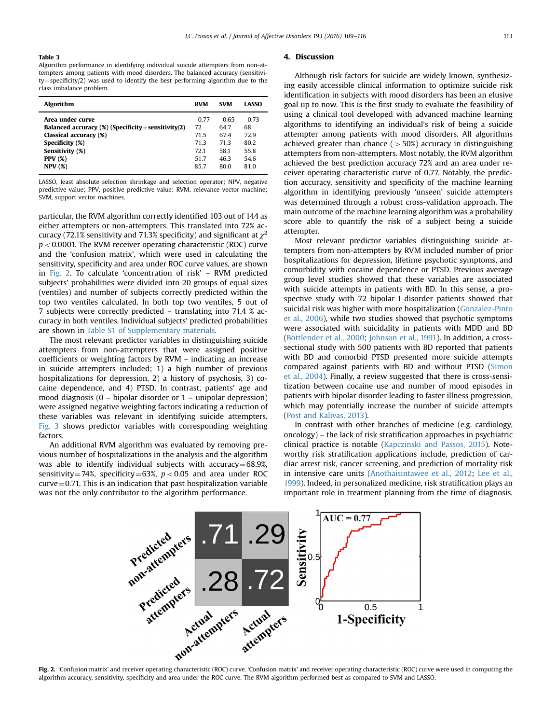#### Table 3

Algorithm performance in identifying individual suicide attempters from non-attempters among patients with mood disorders. The balanced accuracy (sensitivi $ty + specificity/2)$  was used to identify the best performing algorithm due to the class imbalance problem.

| <b>Algorithm</b>                                       | <b>RVM</b> | <b>SVM</b> | <b>LASSO</b> |
|--------------------------------------------------------|------------|------------|--------------|
| Area under curve                                       | 0.77       | 0.65       | 0.73         |
| Balanced accuracy $(\%)$ (Specificity + sensitivity/2) | 72         | 64.7       | 68           |
| Classical accuracy (%)                                 | 71.5       | 67.4       | 72.9         |
| Specificity (%)                                        | 71.3       | 71.3       | 80.2         |
| Sensitivity (%)                                        | 72.1       | 58.1       | 55.8         |
| <b>PPV</b> (%)                                         | 51.7       | 46.3       | 54.6         |
| <b>NPV (%)</b>                                         | 85.7       | 80.0       | 81.0         |

LASSO, least absolute selection shrinkage and selection operator; NPV, negative predictive value; PPV, positive predictive value; RVM, relevance vector machine; SVM, support vector machines.

particular, the RVM algorithm correctly identified 103 out of 144 as either attempters or non-attempters. This translated into 72% accuracy (72.1% sensitivity and 71.3% specificity) and significant at  $\chi^2$  $p < 0.0001$ . The RVM receiver operating characteristic (ROC) curve and the 'confusion matrix', which were used in calculating the sensitivity, specificity and area under ROC curve values, are shown in Fig. 2. To calculate 'concentration of risk' – RVM predicted subjects' probabilities were divided into 20 groups of equal sizes (ventiles) and number of subjects correctly predicted within the top two ventiles calculated. In both top two ventiles, 5 out of 7 subjects were correctly predicted – translating into 71.4 % accuracy in both ventiles. Individual subjects' predicted probabilities are shown in Table S1 of Supplementary materials.

The most relevant predictor variables in distinguishing suicide attempters from non-attempters that were assigned positive coefficients or weighting factors by RVM – indicating an increase in suicide attempters included; 1) a high number of previous hospitalizations for depression, 2) a history of psychosis, 3) cocaine dependence, and 4) PTSD. In contrast, patients' age and mood diagnosis (0 – bipolar disorder or 1 – unipolar depression) were assigned negative weighting factors indicating a reduction of these variables was relevant in identifying suicide attempters. Fig. 3 shows predictor variables with corresponding weighting factors.

An additional RVM algorithm was evaluated by removing previous number of hospitalizations in the analysis and the algorithm was able to identify individual subjects with accuracy= $68.9\%$ ,  $curve = 0.71$ . This is an indication that past hospitalization variable was not the only contributor to the algorithm performance.

#### 4. Discussion

Although risk factors for suicide are widely known, synthesizing easily accessible clinical information to optimize suicide risk identification in subjects with mood disorders has been an elusive goal up to now. This is the first study to evaluate the feasibility of using a clinical tool developed with advanced machine learning algorithms to identifying an individual's risk of being a suicide attempter among patients with mood disorders. All algorithms achieved greater than chance ( $>50\%$ ) accuracy in distinguishing attempters from non-attempters. Most notably, the RVM algorithm achieved the best prediction accuracy 72% and an area under receiver operating characteristic curve of 0.77. Notably, the prediction accuracy, sensitivity and specificity of the machine learning algorithm in identifying previously 'unseen' suicide attempters was determined through a robust cross-validation approach. The main outcome of the machine learning algorithm was a probability score able to quantify the risk of a subject being a suicide attempter.

Most relevant predictor variables distinguishing suicide attempters from non-attempters by RVM included number of prior hospitalizations for depression, lifetime psychotic symptoms, and comorbidity with cocaine dependence or PTSD. Previous average group level studies showed that these variables are associated with suicide attempts in patients with BD. In this sense, a prospective study with 72 bipolar I disorder patients showed that suicidal risk was higher with more hospitalization (Gonzalez-Pinto et al., 2006), while two studies showed that psychotic symptoms were associated with suicidality in patients with MDD and BD (Bottlender et al., 2000; Johnson et al., 1991). In addition, a crosssectional study with 500 patients with BD reported that patients with BD and comorbid PTSD presented more suicide attempts compared against patients with BD and without PTSD (Simon et al., 2004). Finally, a review suggested that there is cross-sensitization between cocaine use and number of mood episodes in patients with bipolar disorder leading to faster illness progression, which may potentially increase the number of suicide attempts (Post and Kalivas, 2013).

In contrast with other branches of medicine (e.g. cardiology, oncology) – the lack of risk stratification approaches in psychiatric clinical practice is notable (Kapczinski and Passos, 2015). Noteworthy risk stratification applications include, prediction of cardiac arrest risk, cancer screening, and prediction of mortality risk in intensive care units (Anothaisintawee et al., 2012; Lee et al., 1999). Indeed, in personalized medicine, risk stratification plays an important role in treatment planning from the time of diagnosis.



Fig. 2. 'Confusion matrix' and receiver operating characteristic (ROC) curve. 'Confusion matrix' and receiver operating characteristic (ROC) curve were used in computing the algorithm accuracy, sensitivity, specificity and area under the ROC curve. The RVM algorithm performed best as compared to SVM and LASSO.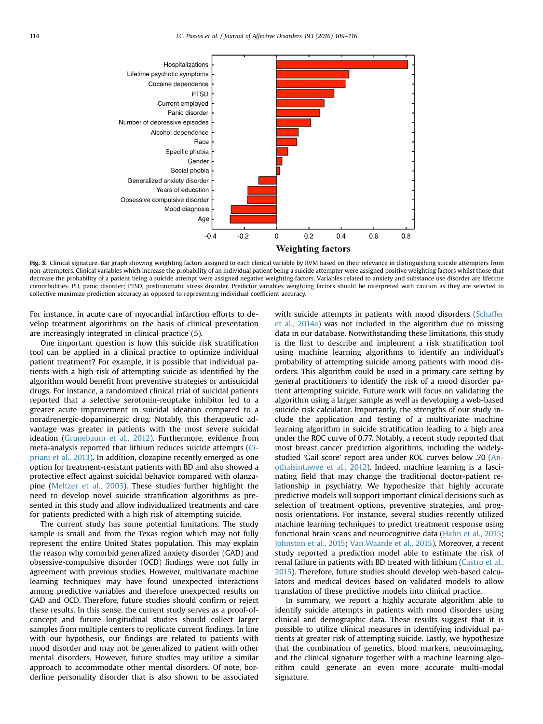

Fig. 3. Clinical signature. Bar graph showing weighting factors assigned to each clinical variable by RVM based on their relevance in distinguishing suicide attempters from non-attempters. Clinical variables which increase the probability of an individual patient being a suicide attempter were assigned positive weighting factors whilst those that decrease the probability of a patient being a suicide attempt were assigned negative weighting factors. Variables related to anxiety and substance use disorder are lifetime comorbidities. PD, panic disorder; PTSD, posttraumatic stress disorder. Predictor variables weighting factors should be interpreted with caution as they are selected to collective maximize prediction accuracy as opposed to representing individual coefficient accuracy.

For instance, in acute care of myocardial infarction efforts to develop treatment algorithms on the basis of clinical presentation are increasingly integrated in clinical practice (5).

One important question is how this suicide risk stratification tool can be applied in a clinical practice to optimize individual patient treatment? For example, it is possible that individual patients with a high risk of attempting suicide as identified by the algorithm would benefit from preventive strategies or antisuicidal drugs. For instance, a randomized clinical trial of suicidal patients reported that a selective serotonin-reuptake inhibitor led to a greater acute improvement in suicidal ideation compared to a noradrenergic-dopaminergic drug. Notably, this therapeutic advantage was greater in patients with the most severe suicidal ideation (Grunebaum et al., 2012). Furthermore, evidence from meta-analysis reported that lithium reduces suicide attempts (Cipriani et al., 2013). In addition, clozapine recently emerged as one option for treatment-resistant patients with BD and also showed a protective effect against suicidal behavior compared with olanzapine (Meltzer et al., 2003). These studies further highlight the need to develop novel suicide stratification algorithms as presented in this study and allow individualized treatments and care for patients predicted with a high risk of attempting suicide.

The current study has some potential limitations. The study sample is small and from the Texas region which may not fully represent the entire United States population. This may explain the reason why comorbid generalized anxiety disorder (GAD) and obsessive-compulsive disorder (OCD) findings were not fully in agreement with previous studies. However, multivariate machine learning techniques may have found unexpected interactions among predictive variables and therefore unexpected results on GAD and OCD. Therefore, future studies should confirm or reject these results. In this sense, the current study serves as a proof-ofconcept and future longitudinal studies should collect larger samples from multiple centers to replicate current findings. In line with our hypothesis, our findings are related to patients with mood disorder and may not be generalized to patient with other mental disorders. However, future studies may utilize a similar approach to accommodate other mental disorders. Of note, borderline personality disorder that is also shown to be associated

with suicide attempts in patients with mood disorders (Schaffer et al., 2014a) was not included in the algorithm due to missing data in our database. Notwithstanding these limitations, this study is the first to describe and implement a risk stratification tool using machine learning algorithms to identify an individual's probability of attempting suicide among patients with mood disorders. This algorithm could be used in a primary care setting by general practitioners to identify the risk of a mood disorder patient attempting suicide. Future work will focus on validating the algorithm using a larger sample as well as developing a web-based suicide risk calculator. Importantly, the strengths of our study include the application and testing of a multivariate machine learning algorithm in suicide stratification leading to a high area under the ROC curve of 0.77. Notably, a recent study reported that most breast cancer prediction algorithms, including the widelystudied 'Gail score' report area under ROC curves below .70 (Anothaisintawee et al., 2012). Indeed, machine learning is a fascinating field that may change the traditional doctor-patient relationship in psychiatry. We hypothesize that highly accurate predictive models will support important clinical decisions such as selection of treatment options, preventive strategies, and prognosis orientations. For instance, several studies recently utilized machine learning techniques to predict treatment response using functional brain scans and neurocognitive data (Hahn et al., 2015; Johnston et al., 2015; Van Waarde et al., 2015). Moreover, a recent study reported a prediction model able to estimate the risk of renal failure in patients with BD treated with lithium (Castro et al., 2015). Therefore, future studies should develop web-based calculators and medical devices based on validated models to allow translation of these predictive models into clinical practice.

In summary, we report a highly accurate algorithm able to identify suicide attempts in patients with mood disorders using clinical and demographic data. These results suggest that it is possible to utilize clinical measures in identifying individual patients at greater risk of attempting suicide. Lastly, we hypothesize that the combination of genetics, blood markers, neuroimaging, and the clinical signature together with a machine learning algorithm could generate an even more accurate multi-modal signature.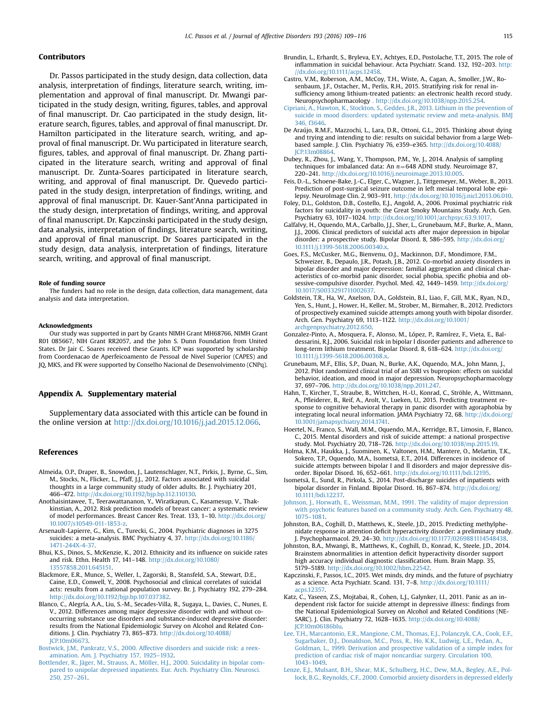#### Contributors

Dr. Passos participated in the study design, data collection, data analysis, interpretation of findings, literature search, writing, implementation and approval of final manuscript. Dr. Mwangi participated in the study design, writing, figures, tables, and approval of final manuscript. Dr. Cao participated in the study design, literature search, figures, tables, and approval of final manuscript. Dr. Hamilton participated in the literature search, writing, and approval of final manuscript. Dr. Wu participated in literature search, figures, tables, and approval of final manuscript. Dr. Zhang participated in the literature search, writing and approval of final manuscript. Dr. Zunta-Soares participated in literature search, writing, and approval of final manuscript. Dr. Quevedo participated in the study design, interpretation of findings, writing, and approval of final manuscript. Dr. Kauer-Sant'Anna participated in the study design, interpretation of findings, writing, and approval of final manuscript. Dr. Kapczinski participated in the study design, data analysis, interpretation of findings, literature search, writing, and approval of final manuscript. Dr Soares participated in the study design, data analysis, interpretation of findings, literature search, writing, and approval of final manuscript.

#### Role of funding source

The funders had no role in the design, data collection, data management, data analysis and data interpretation.

#### Acknowledgments

Our study was supported in part by Grants NIMH Grant MH68766, NIMH Grant R01 085667, NIH Grant RR2057, and the John S. Dunn Foundation from United States. Dr Jair C. Soares received these Grants. ICP was supported by scholarship from Coordenacao de Aperfeicoamento de Pessoal de Nivel Superior (CAPES) and JQ, MKS, and FK were supported by Conselho Nacional de Desenvolvimento (CNPq).

### Appendix A. Supplementary material

Supplementary data associated with this article can be found in the online version at http://dx.doi.org/10.1016/j.jad.2015.12.066.

#### References

- Almeida, O.P., Draper, B., Snowdon, J., Lautenschlager, N.T., Pirkis, J., Byrne, G., Sim, M., Stocks, N., Flicker, L., Pfaff, J.J., 2012. Factors associated with suicidal thoughts in a large community study of older adults. Br. J. Psychiatry 201, 466–472. http://dx.doi.org/10.1192/bjp.bp.112.110130.
- Anothaisintawee, T., Teerawattananon, Y., Wiratkapun, C., Kasamesup, V., Thakkinstian, A., 2012. Risk prediction models of breast cancer: a systematic review of model performances. Breast Cancer Res. Treat. 133, 1–10. http://dx.doi.org/ 10.1007/s10549-011-1853-z.
- Arsenault-Lapierre, G., Kim, C., Turecki, G., 2004. Psychiatric diagnoses in 3275 suicides: a meta-analysis. BMC Psychiatry 4, 37. http://dx.doi.org/10.1186/ 1471-244X-4-37.
- Bhui, K.S., Dinos, S., McKenzie, K., 2012. Ethnicity and its influence on suicide rates and risk. Ethn. Health 17, 141–148. http://dx.doi.org/10.1080/ 13557858.2011.645151.
- Blackmore, E.R., Munce, S., Weller, I., Zagorski, B., Stansfeld, S.A., Stewart, D.E., Caine, E.D., Conwell, Y., 2008. Psychosocial and clinical correlates of suicidal acts: results from a national population survey. Br. J. Psychiatry 192, 279–284. http://dx.doi.org/10.1192/bjp.bp.107.037382.
- Blanco, C., Alegría, A.A., Liu, S.-M., Secades-Villa, R., Sugaya, L., Davies, C., Nunes, E. V., 2012. Differences among major depressive disorder with and without cooccurring substance use disorders and substance-induced depressive disorder: results from the National Epidemiologic Survey on Alcohol and Related Conditions. J. Clin. Psychiatry 73, 865–873. http://dx.doi.org/10.4088/ JCP.10m06673.
- Bostwick, J.M., Pankratz, V.S., 2000. Affective disorders and suicide risk: a reexamination. Am. J. Psychiatry 157, 1925–1932.
- Bottlender, R., Jäger, M., Strauss, A., Möller, H.J., 2000. Suicidality in bipolar compared to unipolar depressed inpatients. Eur. Arch. Psychiatry Clin. Neurosci. 250, 257–261.
- Brundin, L., Erhardt, S., Bryleva, E.Y., Achtyes, E.D., Postolache, T.T., 2015. The role of inflammation in suicidal behaviour. Acta Psychiatr. Scand. 132, 192–203. http: //dx.doi.org/10.1111/acps.12458.
- Castro, V.M., Roberson, A.M., McCoy, T.H., Wiste, A., Cagan, A., Smoller, J.W., Rosenbaum, J.F., Ostacher, M., Perlis, R.H., 2015. Stratifying risk for renal insufficiency among lithium-treated patients: an electronic health record study. Neuropsychopharmacology . http://dx.doi.org/10.1038/npp.2015.254.
- Cipriani, A., Hawton, K., Stockton, S., Geddes, J.R., 2013. Lithium in the prevention of suicide in mood disorders: updated systematic review and meta-analysis. BMJ 346, f3646.
- De Araújo, R.M.F., Mazzochi, L., Lara, D.R., Ottoni, G.L., 2015. Thinking about dying and trying and intending to die: results on suicidal behavior from a large Webbased sample. J. Clin. Psychiatry 76, e359–e365. http://dx.doi.org/10.4088/ JCP.13m08864.
- Dubey, R., Zhou, J., Wang, Y., Thompson, P.M., Ye, J., 2014. Analysis of sampling techniques for imbalanced data: An  $n=648$  ADNI study. Neuroimage 87, 220–241. http://dx.doi.org/10.1016/j.neuroimage.2013.10.005.
- Feis, D.-L., Schoene-Bake, J.-C., Elger, C., Wagner, J., Tittgemeyer, M., Weber, B., 2013. Prediction of post-surgical seizure outcome in left mesial temporal lobe epilepsy. NeuroImage Clin. 2, 903–911. http://dx.doi.org/10.1016/j.nicl.2013.06.010.
- Foley, D.L., Goldston, D.B., Costello, E.J., Angold, A., 2006. Proximal psychiatric risk factors for suicidality in youth: the Great Smoky Mountains Study. Arch. Gen. Psychiatry 63, 1017–1024. http://dx.doi.org/10.1001/archpsyc.63.9.1017.
- Galfalvy, H., Oquendo, M.A., Carballo, J.J., Sher, L., Grunebaum, M.F., Burke, A., Mann, J.J., 2006. Clinical predictors of suicidal acts after major depression in bipolar disorder: a prospective study. Bipolar Disord. 8, 586–595. http://dx.doi.org/ 10.1111/j.1399-5618.2006.00340.x.
- Goes, F.S., McCusker, M.G., Bienvenu, O.J., Mackinnon, D.F., Mondimore, F.M., Schweizer, B., Depaulo, J.R., Potash, J.B., 2012. Co-morbid anxiety disorders in bipolar disorder and major depression: familial aggregation and clinical characteristics of co-morbid panic disorder, social phobia, specific phobia and obsessive-compulsive disorder. Psychol. Med. 42, 1449–1459. http://dx.doi.org/ 10.1017/S0033291711002637.
- Goldstein, T.R., Ha, W., Axelson, D.A., Goldstein, B.I., Liao, F., Gill, M.K., Ryan, N.D., Yen, S., Hunt, J., Hower, H., Keller, M., Strober, M., Birmaher, B., 2012. Predictors of prospectively examined suicide attempts among youth with bipolar disorder. Arch. Gen. Psychiatry 69, 1113–1122. http://dx.doi.org/10.1001/ archgenpsychiatry.2012.650.
- Gonzalez-Pinto, A., Mosquera, F., Alonso, M., López, P., Ramírez, F., Vieta, E., Baldessarini, R.J., 2006. Suicidal risk in bipolar I disorder patients and adherence to long-term lithium treatment. Bipolar Disord. 8, 618–624. http://dx.doi.org/ 10.1111/j.1399-5618.2006.00368.x
- Grunebaum, M.F., Ellis, S.P., Duan, N., Burke, A.K., Oquendo, M.A., John Mann, J., 2012. Pilot randomized clinical trial of an SSRI vs bupropion: effects on suicidal behavior, ideation, and mood in major depression. Neuropsychopharmacology 37, 697–706. http://dx.doi.org/10.1038/npp.2011.247.
- Hahn, T., Kircher, T., Straube, B., Wittchen, H.-U., Konrad, C., Ströhle, A., Wittmann, A., Pfleiderer, B., Reif, A., Arolt, V., Lueken, U., 2015. Predicting treatment response to cognitive behavioral therapy in panic disorder with agoraphobia by integrating local neural information. JAMA Psychiatry 72, 68. http://dx.doi.org/ 10.1001/jamapsychiatry.2014.1741.
- Hoertel, N., Franco, S., Wall, M.M., Oquendo, M.A., Kerridge, B.T., Limosin, F., Blanco, C., 2015. Mental disorders and risk of suicide attempt: a national prospective study. Mol. Psychiatry 20, 718–726. http://dx.doi.org/10.1038/mp.2015.19.
- Holma, K.M., Haukka, J., Suominen, K., Valtonen, H.M., Mantere, O., Melartin, T.K., Sokero, T.P., Oquendo, M.A., Isometsä, E.T., 2014. Differences in incidence of suicide attempts between bipolar I and II disorders and major depressive disorder. Bipolar Disord. 16, 652–661. http://dx.doi.org/10.1111/bdi.12195.
- Isometsä, E., Sund, R., Pirkola, S., 2014. Post-discharge suicides of inpatients with bipolar disorder in Finland. Bipolar Disord. 16, 867–874. http://dx.doi.org/ 10.1111/bdi.12237.
- Johnson, J., Horwath, E., Weissman, M.M., 1991. The validity of major depression with psychotic features based on a community study. Arch. Gen. Psychiatry 48, 1075–1081.
- Johnston, B.A., Coghill, D., Matthews, K., Steele, J.D., 2015. Predicting methylphenidate response in attention deficit hyperactivity disorder: a preliminary study. J. Psychopharmacol. 29, 24–30. http://dx.doi.org/10.1177/0269881114548438.
- Johnston, B.A., Mwangi, B., Matthews, K., Coghill, D., Konrad, K., Steele, J.D., 2014. Brainstem abnormalities in attention deficit hyperactivity disorder support high accuracy individual diagnostic classification. Hum. Brain Mapp. 35, 5179–5189. http://dx.doi.org/10.1002/hbm.22542.
- Kapczinski, F., Passos, I.C., 2015. Wet minds, dry minds, and the future of psychiatry as a science. Acta Psychiatr. Scand. 131, 7–8. http://dx.doi.org/10.1111/ acps.12357.
- Katz, C., Yaseen, Z.S., Mojtabai, R., Cohen, L.J., Galynker, I.I., 2011. Panic as an independent risk factor for suicide attempt in depressive illness: findings from the National Epidemiological Survey on Alcohol and Related Conditions (NE-SARC). J. Clin. Psychiatry 72, 1628–1635. http://dx.doi.org/10.4088/ JCP.10m06186blu.
- Lee, T.H., Marcantonio, E.R., Mangione, C.M., Thomas, E.J., Polanczyk, C.A., Cook, E.F., Sugarbaker, D.J., Donaldson, M.C., Poss, R., Ho, K.K., Ludwig, L.E., Pedan, A., Goldman, L., 1999. Derivation and prospective validation of a simple index for prediction of cardiac risk of major noncardiac surgery. Circulation 100, 1043–1049.
- Lenze, E.J., Mulsant, B.H., Shear, M.K., Schulberg, H.C., Dew, M.A., Begley, A.E., Pollock, B.G., Reynolds, C.F., 2000. Comorbid anxiety disorders in depressed elderly